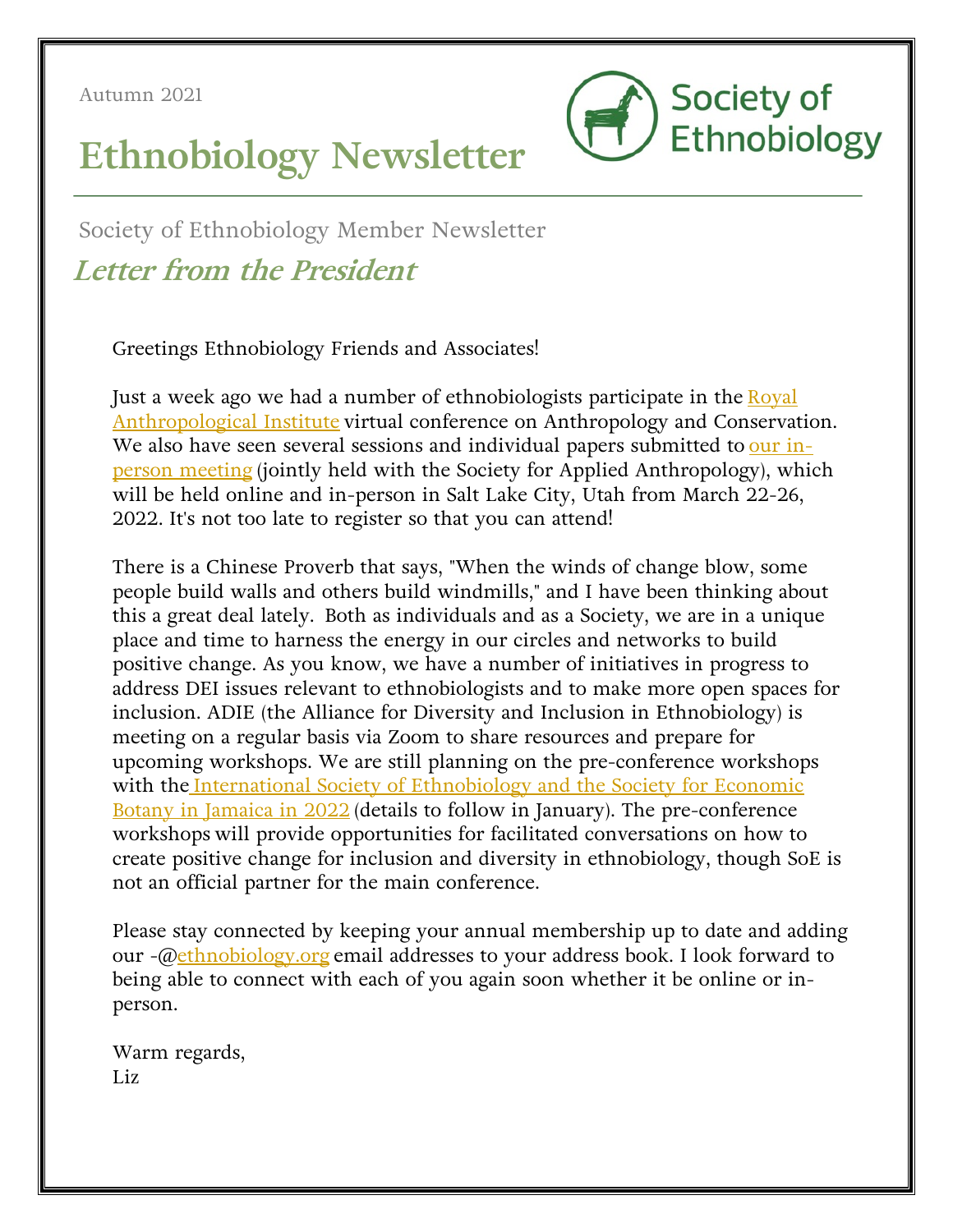Autumn 2021



# **Ethnobiology Newsletter**

Society of Ethnobiology Member Newsletter **Letter from the President**

Greetings Ethnobiology Friends and Associates!

Just a week ago we had a number of ethnobiologists participate in the Royal Anthropological Institute virtual conference on Anthropology and Conservation. We also have seen several sessions and individual papers submitted to our inperson meeting (jointly held with the Society for Applied Anthropology), which will be held online and in-person in Salt Lake City, Utah from March 22-26, 2022. It's not too late to register so that you can attend!

There is a Chinese Proverb that says, "When the winds of change blow, some people build walls and others build windmills," and I have been thinking about this a great deal lately. Both as individuals and as a Society, we are in a unique place and time to harness the energy in our circles and networks to build positive change. As you know, we have a number of initiatives in progress to address DEI issues relevant to ethnobiologists and to make more open spaces for inclusion. ADIE (the Alliance for Diversity and Inclusion in Ethnobiology) is meeting on a regular basis via Zoom to share resources and prepare for upcoming workshops. We are still planning on the pre-conference workshops with the International Society of Ethnobiology and the Society for Economic Botany in Jamaica in 2022 (details to follow in January). The pre-conference workshops will provide opportunities for facilitated conversations on how to create positive change for inclusion and diversity in ethnobiology, though SoE is not an official partner for the main conference.

Please stay connected by keeping your annual membership up to date and adding our -@ethnobiology.org email addresses to your address book. I look forward to being able to connect with each of you again soon whether it be online or inperson.

Warm regards, Liz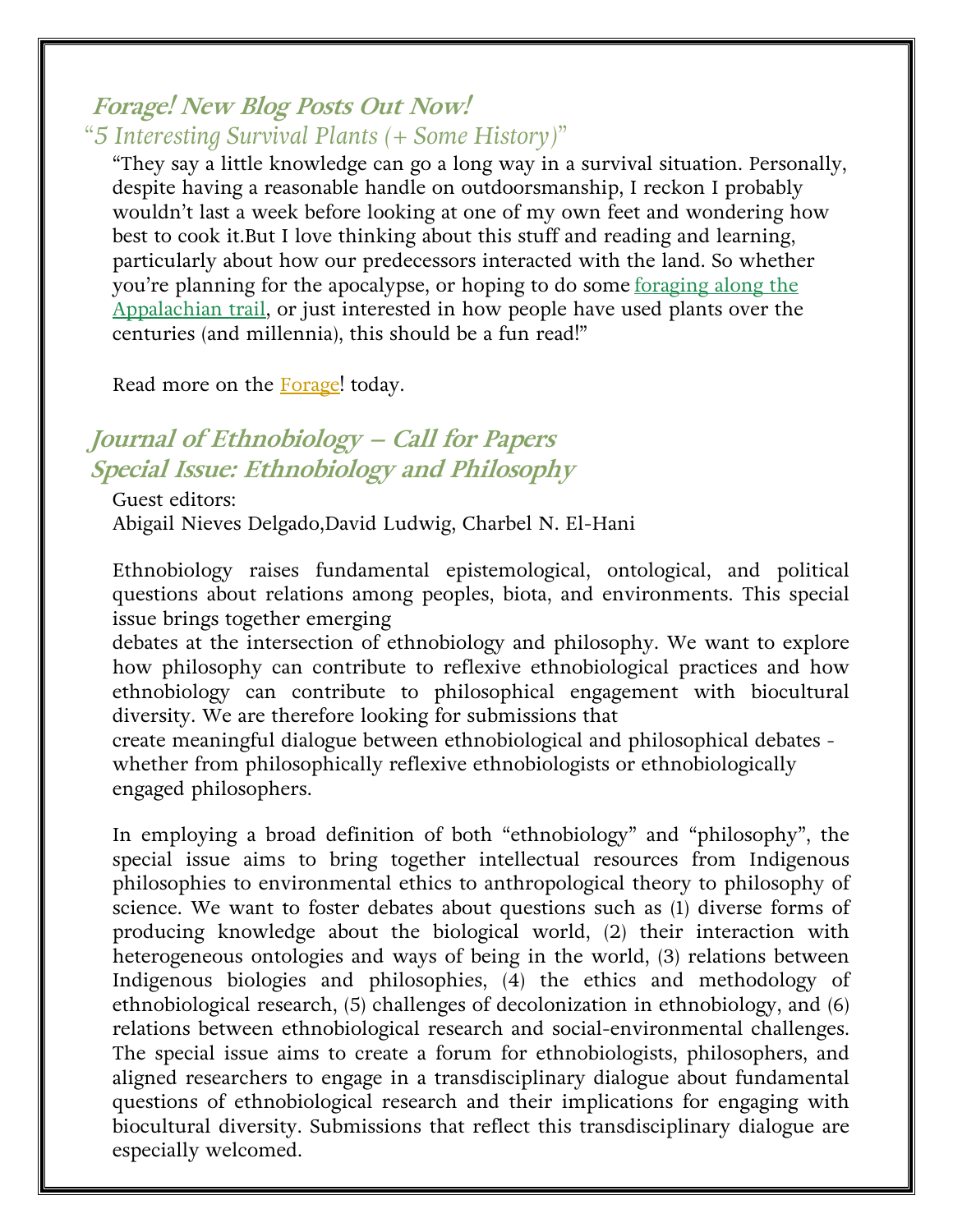#### **Forage! New Blog Posts Out Now!**

## *"5 Interesting Survival Plants (+ Some History)"*

"They say a little knowledge can go a long way in a survival situation. Personally, despite having a reasonable handle on outdoorsmanship, I reckon I probably wouldn't last a week before looking at one of my own feet and wondering how best to cook it.But I love thinking about this stuff and reading and learning, particularly about how our predecessors interacted with the land. So whether you're planning for the apocalypse, or hoping to do some foraging along the Appalachian trail, or just interested in how people have used plants over the centuries (and millennia), this should be a fun read!"

Read more on the Forage! today.

## **Journal of Ethnobiology – Call for Papers Special Issue: Ethnobiology and Philosophy**

Guest editors: Abigail Nieves Delgado,David Ludwig, Charbel N. El-Hani 

Ethnobiology raises fundamental epistemological, ontological, and political questions about relations among peoples, biota, and environments. This special issue brings together emerging

debates at the intersection of ethnobiology and philosophy. We want to explore how philosophy can contribute to reflexive ethnobiological practices and how ethnobiology can contribute to philosophical engagement with biocultural diversity. We are therefore looking for submissions that

create meaningful dialogue between ethnobiological and philosophical debates whether from philosophically reflexive ethnobiologists or ethnobiologically engaged philosophers. 

In employing a broad definition of both "ethnobiology" and "philosophy", the special issue aims to bring together intellectual resources from Indigenous philosophies to environmental ethics to anthropological theory to philosophy of science. We want to foster debates about questions such as (1) diverse forms of producing knowledge about the biological world, (2) their interaction with heterogeneous ontologies and ways of being in the world, (3) relations between Indigenous biologies and philosophies, (4) the ethics and methodology of ethnobiological research, (5) challenges of decolonization in ethnobiology, and (6) relations between ethnobiological research and social-environmental challenges. The special issue aims to create a forum for ethnobiologists, philosophers, and aligned researchers to engage in a transdisciplinary dialogue about fundamental questions of ethnobiological research and their implications for engaging with biocultural diversity. Submissions that reflect this transdisciplinary dialogue are especially welcomed.